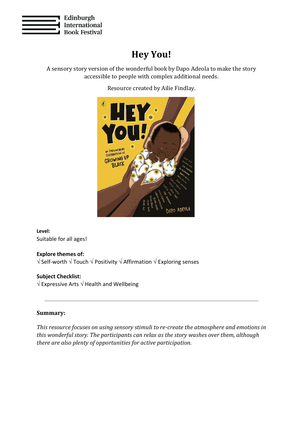

# **Hey You!**

## A sensory story version of the wonderful book by Dapo Adeola to make the story accessible to people with complex additional needs.

Resource created by Ailie Findlay.



**Level:** Suitable for all ages!

#### **Explore themes of:**

 $\sqrt{\ }$  Self-worth  $\sqrt{\ }$  Touch  $\sqrt{\ }$  Positivity  $\sqrt{\ }$  Affirmation  $\sqrt{\ }$  Exploring senses

#### **Subject Checklist:**

 $\sqrt{\mathsf{Expressive} \, \mathsf{Arts} \, \sqrt{\mathsf{Health}} \, \mathsf{and} \, \mathsf{Wellbeing}}$ 

#### **Summary:**

*This resource focuses on using sensory stimuli to re-create the atmosphere and emotions in this wonderful story. The participants can relax as the story washes over them, although there are also plenty of opportunities for active participation.*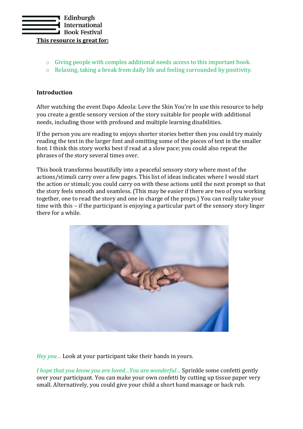

- o Giving people with complex additional needs access to this important book.
- o Relaxing, taking a break from daily life and feeling surrounded by positivity.

## **Introduction**

After watching the event Dapo Adeola: Love the Skin You're In use this resource to help you create a gentle sensory version of the story suitable for people with additional needs, including those with profound and multiple learning disabilities.

If the person you are reading to enjoys shorter stories better then you could try mainly reading the text in the larger font and omitting some of the pieces of text in the smaller font. I think this story works best if read at a slow pace; you could also repeat the phrases of the story several times over.

This book transforms beautifully into a peaceful sensory story where most of the actions/stimuli carry over a few pages. This list of ideas indicates where I would start the action or stimuli; you could carry on with these actions until the next prompt so that the story feels smooth and seamless. (This may be easier if there are two of you working together, one to read the story and one in charge of the props.) You can really take your time with this – if the participant is enjoying a particular part of the sensory story linger there for a while.



*Hey you…* Look at your participant take their hands in yours.

*I hope that you know you are loved…You are wonderful…* Sprinkle some confetti gently over your participant. You can make your own confetti by cutting up tissue paper very small. Alternatively, you could give your child a short hand massage or back rub.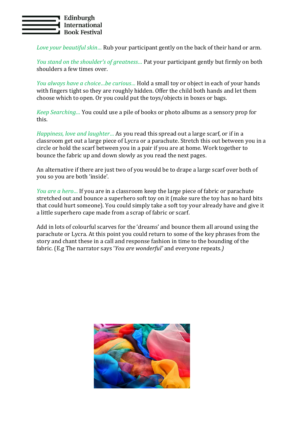

*Love your beautiful skin…* Rub your participant gently on the back of their hand or arm.

*You stand on the shoulder's of greatness…* Pat your participant gently but firmly on both shoulders a few times over.

*You always have a choice…be curious…* Hold a small toy or object in each of your hands with fingers tight so they are roughly hidden. Offer the child both hands and let them choose which to open. Or you could put the toys/objects in boxes or bags.

*Keep Searching…* You could use a pile of books or photo albums as a sensory prop for this.

*Happiness, love and laughter…* As you read this spread out a large scarf, or if in a classroom get out a large piece of Lycra or a parachute. Stretch this out between you in a circle or hold the scarf between you in a pair if you are at home. Work together to bounce the fabric up and down slowly as you read the next pages.

An alternative if there are just two of you would be to drape a large scarf over both of you so you are both 'inside'.

*You are a hero…* If you are in a classroom keep the large piece of fabric or parachute stretched out and bounce a superhero soft toy on it (make sure the toy has no hard bits that could hurt someone). You could simply take a soft toy your already have and give it a little superhero cape made from a scrap of fabric or scarf.

Add in lots of colourful scarves for the 'dreams' and bounce them all around using the parachute or Lycra. At this point you could return to some of the key phrases from the story and chant these in a call and response fashion in time to the bounding of the fabric. (E.g The narrator says '*You are wonderful'* and everyone repeats.*)*